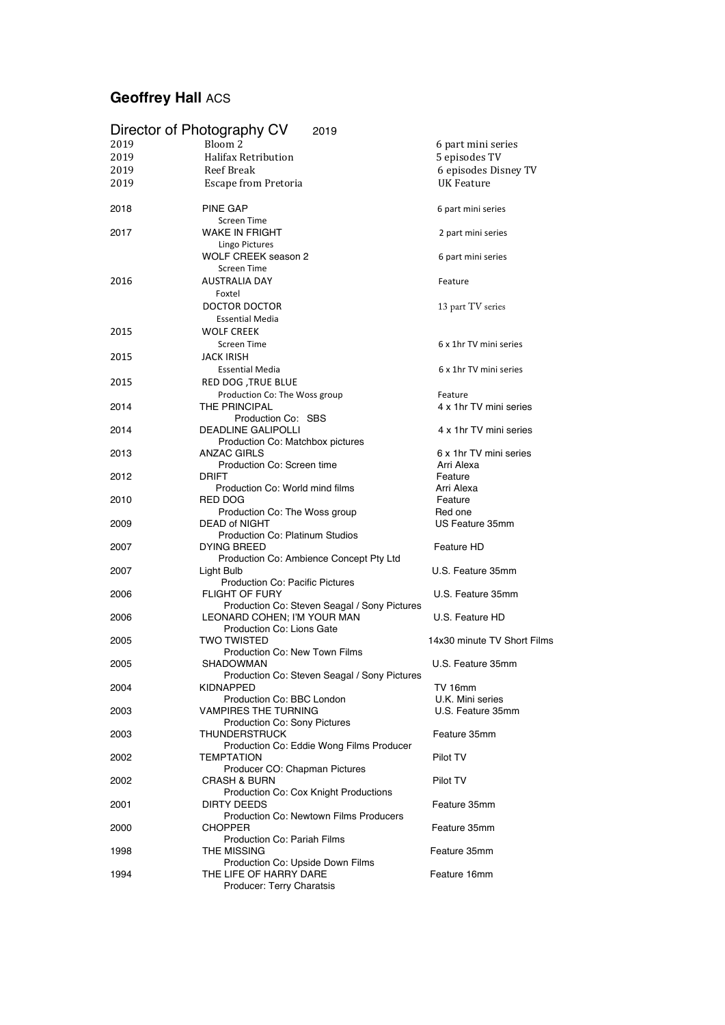## **Geoffrey Hall** ACS

|      | Director of Photography CV<br>2019                              |                             |
|------|-----------------------------------------------------------------|-----------------------------|
| 2019 | Bloom 2                                                         | 6 part mini series          |
| 2019 | Halifax Retribution                                             | 5 episodes TV               |
| 2019 | <b>Reef Break</b>                                               | 6 episodes Disney TV        |
| 2019 | Escape from Pretoria                                            | UK Feature                  |
|      |                                                                 |                             |
| 2018 | <b>PINE GAP</b>                                                 | 6 part mini series          |
|      | <b>Screen Time</b>                                              |                             |
| 2017 | <b>WAKE IN FRIGHT</b>                                           | 2 part mini series          |
|      | Lingo Pictures                                                  |                             |
|      | WOLF CREEK season 2                                             | 6 part mini series          |
|      | <b>Screen Time</b>                                              |                             |
| 2016 | <b>AUSTRALIA DAY</b>                                            | Feature                     |
|      | Foxtel                                                          |                             |
|      | DOCTOR DOCTOR                                                   | 13 part TV series           |
|      | <b>Essential Media</b>                                          |                             |
| 2015 | <b>WOLF CREEK</b>                                               |                             |
|      | <b>Screen Time</b>                                              | 6 x 1hr TV mini series      |
| 2015 | JACK IRISH                                                      |                             |
|      | <b>Essential Media</b>                                          | 6 x 1hr TV mini series      |
| 2015 | RED DOG ,TRUE BLUE                                              |                             |
|      | Production Co: The Woss group                                   | Feature                     |
| 2014 | THE PRINCIPAL                                                   | 4 x 1hr TV mini series      |
|      | Production Co: SBS                                              |                             |
| 2014 | <b>DEADLINE GALIPOLLI</b>                                       | 4 x 1hr TV mini series      |
|      | Production Co: Matchbox pictures                                |                             |
| 2013 | ANZAC GIRLS                                                     | 6 x 1hr TV mini series      |
|      | Production Co: Screen time                                      | Arri Alexa                  |
| 2012 | <b>DRIFT</b>                                                    | Feature                     |
|      | Production Co: World mind films                                 | Arri Alexa                  |
| 2010 | RED DOG                                                         | Feature                     |
|      | Production Co: The Woss group                                   | Red one                     |
| 2009 | DEAD of NIGHT                                                   | US Feature 35mm             |
|      | <b>Production Co: Platinum Studios</b>                          |                             |
| 2007 | DYING BREED                                                     | Feature HD                  |
|      | Production Co: Ambience Concept Pty Ltd                         | U.S. Feature 35mm           |
| 2007 | Light Bulb<br><b>Production Co: Pacific Pictures</b>            |                             |
| 2006 | <b>FLIGHT OF FURY</b>                                           | U.S. Feature 35mm           |
|      | Production Co: Steven Seagal / Sony Pictures                    |                             |
| 2006 | LEONARD COHEN; I'M YOUR MAN                                     | U.S. Feature HD             |
|      | Production Co: Lions Gate                                       |                             |
| 2005 | TWO TWISTED                                                     | 14x30 minute TV Short Films |
|      | Production Co: New Town Films                                   |                             |
| 2005 | SHADOWMAN                                                       | U.S. Feature 35mm           |
|      | Production Co: Steven Seagal / Sony Pictures                    |                             |
| 2004 | KIDNAPPED                                                       | TV 16mm                     |
|      | Production Co: BBC London                                       | U.K. Mini series            |
| 2003 | <b>VAMPIRES THE TURNING</b>                                     | U.S. Feature 35mm           |
|      | <b>Production Co: Sony Pictures</b>                             |                             |
| 2003 | <b>THUNDERSTRUCK</b>                                            | Feature 35mm                |
|      | Production Co: Eddie Wong Films Producer                        |                             |
| 2002 | <b>TEMPTATION</b>                                               | Pilot TV                    |
|      | Producer CO: Chapman Pictures                                   |                             |
| 2002 | <b>CRASH &amp; BURN</b>                                         | Pilot TV                    |
| 2001 | Production Co: Cox Knight Productions                           |                             |
|      | DIRTY DEEDS                                                     | Feature 35mm                |
| 2000 | <b>Production Co: Newtown Films Producers</b><br><b>CHOPPER</b> | Feature 35mm                |
|      | <b>Production Co: Pariah Films</b>                              |                             |
| 1998 | THE MISSING                                                     | Feature 35mm                |
|      | Production Co: Upside Down Films                                |                             |
| 1994 | THE LIFE OF HARRY DARE                                          | Feature 16mm                |
|      | Producer: Terry Charatsis                                       |                             |